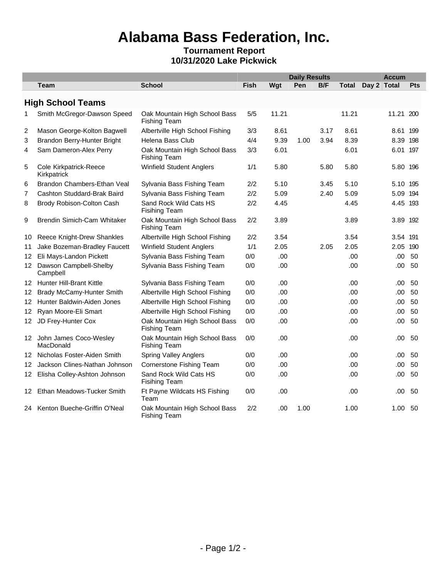## **Alabama Bass Federation, Inc.**

## **Tournament Report 10/31/2020 Lake Pickwick**

|    |                                              |                                                      |             |       | <b>Daily Results</b> |            |       |             |           | <b>Accum</b> |  |
|----|----------------------------------------------|------------------------------------------------------|-------------|-------|----------------------|------------|-------|-------------|-----------|--------------|--|
|    | <b>Team</b>                                  | <b>School</b>                                        | <b>Fish</b> | Wqt   | Pen                  | <b>B/F</b> | Total | Day 2 Total |           | <b>Pts</b>   |  |
|    | <b>High School Teams</b>                     |                                                      |             |       |                      |            |       |             |           |              |  |
| 1  | Smith McGregor-Dawson Speed                  | Oak Mountain High School Bass<br><b>Fishing Team</b> | 5/5         | 11.21 |                      |            | 11.21 |             | 11.21 200 |              |  |
| 2  | Mason George-Kolton Bagwell                  | Albertville High School Fishing                      | 3/3         | 8.61  |                      | 3.17       | 8.61  |             | 8.61 199  |              |  |
| 3  | Brandon Berry-Hunter Bright                  | Helena Bass Club                                     | 4/4         | 9.39  | 1.00                 | 3.94       | 8.39  |             | 8.39 198  |              |  |
| 4  | Sam Dameron-Alex Perry                       | Oak Mountain High School Bass<br><b>Fishing Team</b> | 3/3         | 6.01  |                      |            | 6.01  |             | 6.01 197  |              |  |
| 5  | <b>Cole Kirkpatrick-Reece</b><br>Kirkpatrick | <b>Winfield Student Anglers</b>                      | 1/1         | 5.80  |                      | 5.80       | 5.80  |             | 5.80 196  |              |  |
| 6  | <b>Brandon Chambers-Ethan Veal</b>           | Sylvania Bass Fishing Team                           | 2/2         | 5.10  |                      | 3.45       | 5.10  |             | 5.10 195  |              |  |
| 7  | Cashton Studdard-Brak Baird                  | Sylvania Bass Fishing Team                           | 2/2         | 5.09  |                      | 2.40       | 5.09  |             | 5.09 194  |              |  |
| 8  | Brody Robison-Colton Cash                    | Sand Rock Wild Cats HS<br><b>Fisihing Team</b>       | 2/2         | 4.45  |                      |            | 4.45  |             | 4.45 193  |              |  |
| 9  | Brendin Simich-Cam Whitaker                  | Oak Mountain High School Bass<br><b>Fishing Team</b> | 2/2         | 3.89  |                      |            | 3.89  |             | 3.89 192  |              |  |
| 10 | Reece Knight-Drew Shankles                   | Albertville High School Fishing                      | 2/2         | 3.54  |                      |            | 3.54  |             | 3.54 191  |              |  |
| 11 | Jake Bozeman-Bradley Faucett                 | <b>Winfield Student Anglers</b>                      | 1/1         | 2.05  |                      | 2.05       | 2.05  |             | 2.05 190  |              |  |
|    | 12 Eli Mays-Landon Pickett                   | Sylvania Bass Fishing Team                           | 0/0         | .00   |                      |            | .00   |             | .00       | 50           |  |
|    | 12 Dawson Campbell-Shelby<br>Campbell        | Sylvania Bass Fishing Team                           | 0/0         | .00   |                      |            | .00   |             | .00.      | 50           |  |
|    | 12 Hunter Hill-Brant Kittle                  | Sylvania Bass Fishing Team                           | 0/0         | .00   |                      |            | .00.  |             | .00       | 50           |  |
| 12 | <b>Brady McCamy-Hunter Smith</b>             | Albertville High School Fishing                      | 0/0         | .00   |                      |            | .00   |             | .00       | 50           |  |
| 12 | Hunter Baldwin-Aiden Jones                   | Albertville High School Fishing                      | 0/0         | .00   |                      |            | .00   |             | .00       | 50           |  |
| 12 | Ryan Moore-Eli Smart                         | Albertville High School Fishing                      | 0/0         | .00   |                      |            | .00   |             | .00       | 50           |  |
|    | 12 JD Frey-Hunter Cox                        | Oak Mountain High School Bass<br><b>Fishing Team</b> | 0/0         | .00   |                      |            | .00.  |             | .00       | 50           |  |
|    | 12 John James Coco-Wesley<br>MacDonald       | Oak Mountain High School Bass<br><b>Fishing Team</b> | 0/0         | .00   |                      |            | .00   |             | .00       | 50           |  |
| 12 | Nicholas Foster-Aiden Smith                  | <b>Spring Valley Anglers</b>                         | 0/0         | .00   |                      |            | .00   |             | .00       | 50           |  |
| 12 | Jackson Clines-Nathan Johnson                | Cornerstone Fishing Team                             | 0/0         | .00   |                      |            | .00   |             | .00       | 50           |  |
|    | 12 Elisha Colley-Ashton Johnson              | Sand Rock Wild Cats HS<br><b>Fisihing Team</b>       | 0/0         | .00   |                      |            | .00   |             | .00       | 50           |  |
|    | 12 Ethan Meadows-Tucker Smith                | Ft Payne Wildcats HS Fishing<br>Team                 | 0/0         | .00   |                      |            | .00   |             | .00       | 50           |  |
|    | 24 Kenton Bueche-Griffin O'Neal              | Oak Mountain High School Bass<br><b>Fishing Team</b> | 2/2         | .00   | 1.00                 |            | 1.00  |             | 1.00      | 50           |  |